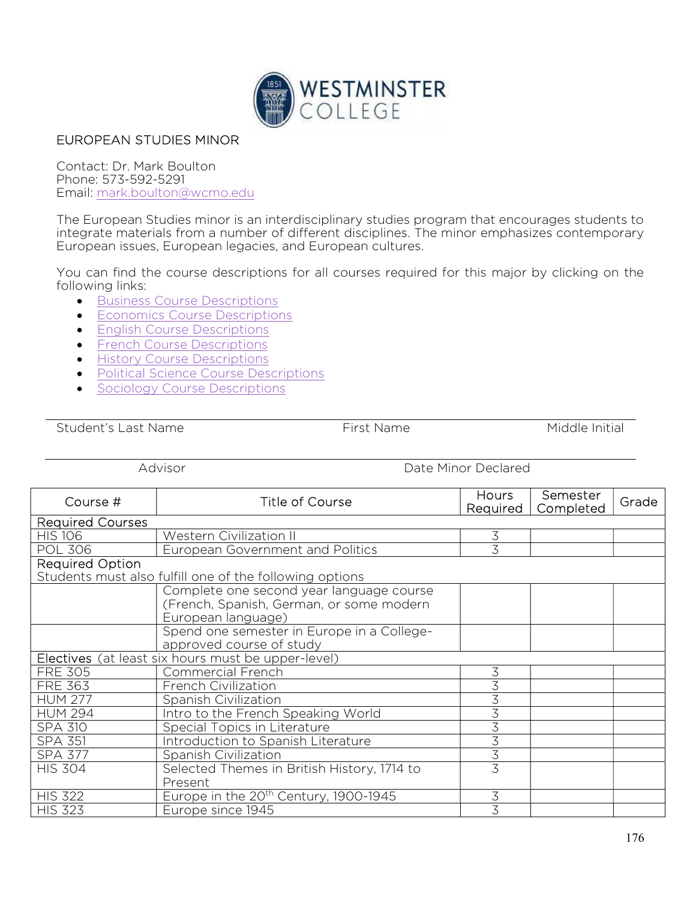

## EUROPEAN STUDIES MINOR

Contact: Dr. Mark Boulton Phone: 573-592-5291 Email: mark.boulton@wcmo.edu

The European Studies minor is an interdisciplinary studies program that encourages students to integrate materials from a number of different disciplines. The minor emphasizes contemporary European issues, European legacies, and European cultures.

You can find the course descriptions for all courses required for this major by clicking on the following links:

- **Business Course Descriptions**
- **Economics Course Descriptions**
- **English Course Descriptions**
- **•** French Course Descriptions
- **•** History Course Descriptions
- Political Science Course Descriptions
- **Sociology Course Descriptions**

Student's Last Name Time First Name The Middle Initial

Advisor **Date Minor Declared** 

| Course #                                                | <b>Title of Course</b>                            | Hours<br>Required | Semester<br>Completed | Grade |  |
|---------------------------------------------------------|---------------------------------------------------|-------------------|-----------------------|-------|--|
| <b>Required Courses</b>                                 |                                                   |                   |                       |       |  |
| <b>HIS 106</b>                                          | Western Civilization II                           | 3                 |                       |       |  |
| <b>POL 306</b>                                          | European Government and Politics                  | $\overline{3}$    |                       |       |  |
| <b>Required Option</b>                                  |                                                   |                   |                       |       |  |
| Students must also fulfill one of the following options |                                                   |                   |                       |       |  |
|                                                         | Complete one second year language course          |                   |                       |       |  |
|                                                         | (French, Spanish, German, or some modern          |                   |                       |       |  |
|                                                         | European language)                                |                   |                       |       |  |
|                                                         | Spend one semester in Europe in a College-        |                   |                       |       |  |
|                                                         | approved course of study                          |                   |                       |       |  |
| Electives (at least six hours must be upper-level)      |                                                   |                   |                       |       |  |
| <b>FRE 305</b>                                          | <b>Commercial French</b>                          | 3                 |                       |       |  |
| <b>FRE 363</b>                                          | French Civilization                               | $\overline{3}$    |                       |       |  |
| <b>HUM 277</b>                                          | Spanish Civilization                              | 3                 |                       |       |  |
| <b>HUM 294</b>                                          | Intro to the French Speaking World                | $\overline{3}$    |                       |       |  |
| <b>SPA 310</b>                                          | Special Topics in Literature                      | 3                 |                       |       |  |
| <b>SPA 351</b>                                          | Introduction to Spanish Literature                | $\overline{3}$    |                       |       |  |
| <b>SPA 377</b>                                          | Spanish Civilization                              | 3                 |                       |       |  |
| <b>HIS 304</b>                                          | Selected Themes in British History, 1714 to       | $\overline{3}$    |                       |       |  |
|                                                         | Present                                           |                   |                       |       |  |
| <b>HIS 322</b>                                          | Europe in the 20 <sup>th</sup> Century, 1900-1945 | 3                 |                       |       |  |
| <b>HIS 323</b>                                          | Europe since 1945                                 | 3                 |                       |       |  |